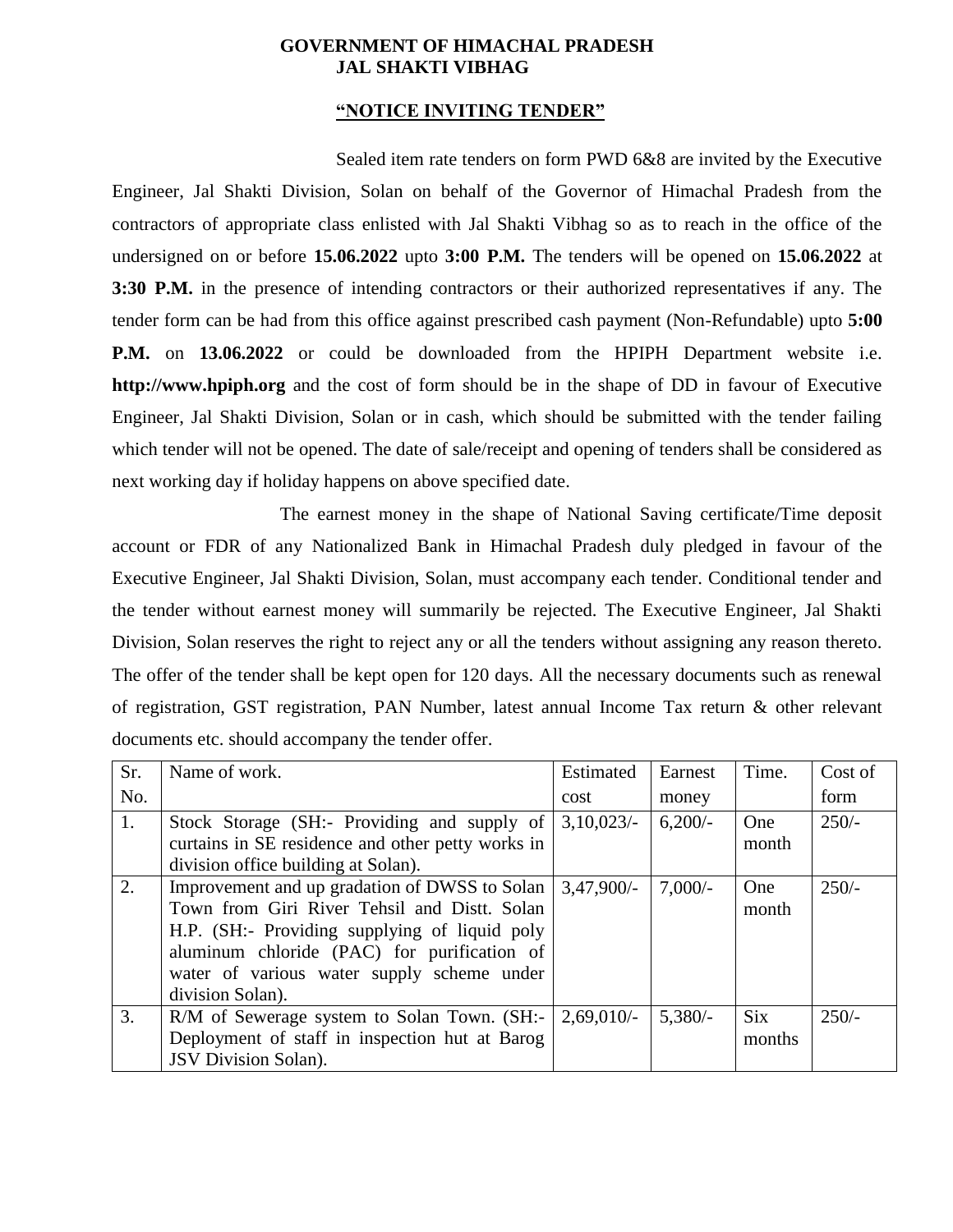## **GOVERNMENT OF HIMACHAL PRADESH JAL SHAKTI VIBHAG**

#### **"NOTICE INVITING TENDER"**

Sealed item rate tenders on form PWD 6&8 are invited by the Executive Engineer, Jal Shakti Division, Solan on behalf of the Governor of Himachal Pradesh from the contractors of appropriate class enlisted with Jal Shakti Vibhag so as to reach in the office of the undersigned on or before **15.06.2022** upto **3:00 P.M.** The tenders will be opened on **15.06.2022** at **3:30 P.M.** in the presence of intending contractors or their authorized representatives if any. The tender form can be had from this office against prescribed cash payment (Non-Refundable) upto **5:00 P.M.** on **13.06.2022** or could be downloaded from the HPIPH Department website i.e. **http://www.hpiph.org** and the cost of form should be in the shape of DD in favour of Executive Engineer, Jal Shakti Division, Solan or in cash, which should be submitted with the tender failing which tender will not be opened. The date of sale/receipt and opening of tenders shall be considered as next working day if holiday happens on above specified date.

The earnest money in the shape of National Saving certificate/Time deposit account or FDR of any Nationalized Bank in Himachal Pradesh duly pledged in favour of the Executive Engineer, Jal Shakti Division, Solan, must accompany each tender. Conditional tender and the tender without earnest money will summarily be rejected. The Executive Engineer, Jal Shakti Division, Solan reserves the right to reject any or all the tenders without assigning any reason thereto. The offer of the tender shall be kept open for 120 days. All the necessary documents such as renewal of registration, GST registration, PAN Number, latest annual Income Tax return & other relevant documents etc. should accompany the tender offer.

| Sr. | Name of work.                                                                                                                                                                                                                                                                      | Estimated | Earnest   | Time.                | Cost of |
|-----|------------------------------------------------------------------------------------------------------------------------------------------------------------------------------------------------------------------------------------------------------------------------------------|-----------|-----------|----------------------|---------|
| No. |                                                                                                                                                                                                                                                                                    | cost      | money     |                      | form    |
| 1.  | Stock Storage (SH:- Providing and supply of<br>curtains in SE residence and other petty works in<br>division office building at Solan).                                                                                                                                            | 3,10,023/ | $6,200/-$ | One<br>month         | $250/-$ |
| 2.  | Improvement and up gradation of DWSS to Solan $\vert 3,47,900/-$<br>Town from Giri River Tehsil and Distt. Solan<br>H.P. (SH:- Providing supplying of liquid poly<br>aluminum chloride (PAC) for purification of<br>water of various water supply scheme under<br>division Solan). |           | $7,000/-$ | One<br>month         | $250/-$ |
| 3.  | R/M of Sewerage system to Solan Town. (SH:-<br>Deployment of staff in inspection hut at Barog<br><b>JSV</b> Division Solan).                                                                                                                                                       | 2,69,010/ | $5,380/-$ | <b>Six</b><br>months | $250/-$ |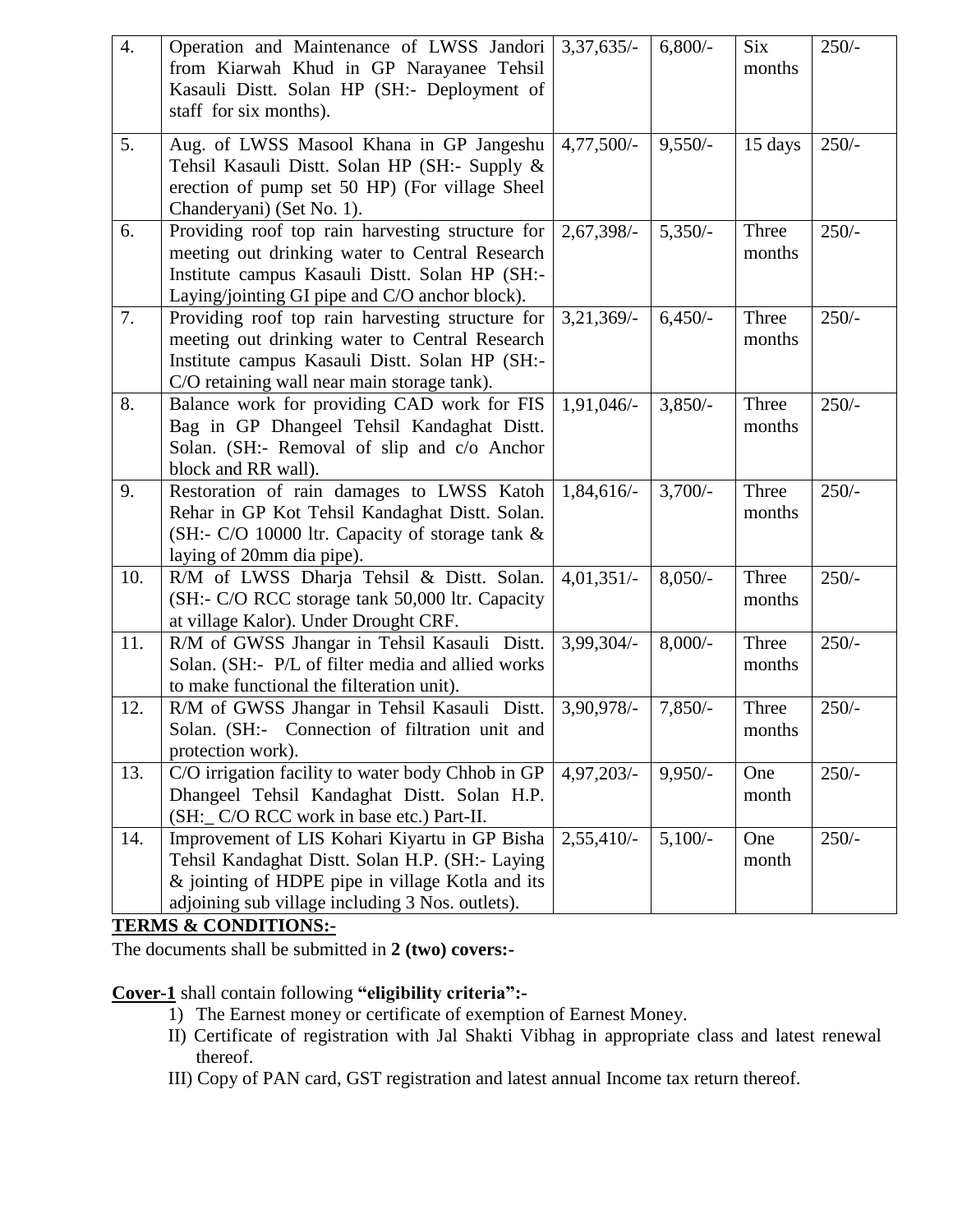| 4.  | Operation and Maintenance of LWSS Jandori<br>from Kiarwah Khud in GP Narayanee Tehsil<br>Kasauli Distt. Solan HP (SH:- Deployment of<br>staff for six months).                                           | $3,37,635/-$  | $6,800/-$  | Six<br>months   | $250/-$ |
|-----|----------------------------------------------------------------------------------------------------------------------------------------------------------------------------------------------------------|---------------|------------|-----------------|---------|
| 5.  | Aug. of LWSS Masool Khana in GP Jangeshu<br>Tehsil Kasauli Distt. Solan HP (SH:- Supply &<br>erection of pump set 50 HP) (For village Sheel<br>Chanderyani) (Set No. 1).                                 | $4,77,500/-$  | $9,550/-$  | 15 days         | $250/-$ |
| 6.  | Providing roof top rain harvesting structure for<br>meeting out drinking water to Central Research<br>Institute campus Kasauli Distt. Solan HP (SH:-<br>Laying/jointing GI pipe and C/O anchor block).   | $2,67,398/-$  | $5,350/-$  | Three<br>months | $250/-$ |
| 7.  | Providing roof top rain harvesting structure for<br>meeting out drinking water to Central Research<br>Institute campus Kasauli Distt. Solan HP (SH:-<br>C/O retaining wall near main storage tank).      | $3,21,369/$ - | $6,450/-$  | Three<br>months | $250/-$ |
| 8.  | Balance work for providing CAD work for FIS<br>Bag in GP Dhangeel Tehsil Kandaghat Distt.<br>Solan. (SH:- Removal of slip and c/o Anchor<br>block and RR wall).                                          | 1,91,046/-    | $3,850/-$  | Three<br>months | $250/-$ |
| 9.  | Restoration of rain damages to LWSS Katoh<br>Rehar in GP Kot Tehsil Kandaghat Distt. Solan.<br>(SH:- C/O 10000 ltr. Capacity of storage tank &<br>laying of 20mm dia pipe).                              | $1,84,616/-$  | $3,700/-$  | Three<br>months | $250/-$ |
| 10. | R/M of LWSS Dharja Tehsil & Distt. Solan.<br>(SH:- C/O RCC storage tank 50,000 ltr. Capacity<br>at village Kalor). Under Drought CRF.                                                                    | $4,01,351/-$  | $8,050/-$  | Three<br>months | $250/-$ |
| 11. | R/M of GWSS Jhangar in Tehsil Kasauli Distt.<br>Solan. (SH:- P/L of filter media and allied works<br>to make functional the filteration unit).                                                           | 3,99,304/-    | $8,000/$ - | Three<br>months | $250/-$ |
| 12. | R/M of GWSS Jhangar in Tehsil Kasauli Distt.<br>Solan. (SH:- Connection of filtration unit and<br>protection work).                                                                                      | $3,90,978/-$  | $7,850/-$  | Three<br>months | $250/-$ |
| 13. | C/O irrigation facility to water body Chhob in GP<br>Dhangeel Tehsil Kandaghat Distt. Solan H.P.<br>(SH: C/O RCC work in base etc.) Part-II.                                                             | $4,97,203/-$  | $9,950/-$  | One<br>month    | $250/-$ |
| 14. | Improvement of LIS Kohari Kiyartu in GP Bisha<br>Tehsil Kandaghat Distt. Solan H.P. (SH:- Laying<br>& jointing of HDPE pipe in village Kotla and its<br>adjoining sub village including 3 Nos. outlets). | $2,55,410/-$  | $5,100/-$  | One<br>month    | $250/-$ |

# **TERMS & CONDITIONS:-**

The documents shall be submitted in **2 (two) covers:-**

**Cover-1** shall contain following **"eligibility criteria":-**

- 1) The Earnest money or certificate of exemption of Earnest Money.
- II) Certificate of registration with Jal Shakti Vibhag in appropriate class and latest renewal thereof.
- III) Copy of PAN card, GST registration and latest annual Income tax return thereof.